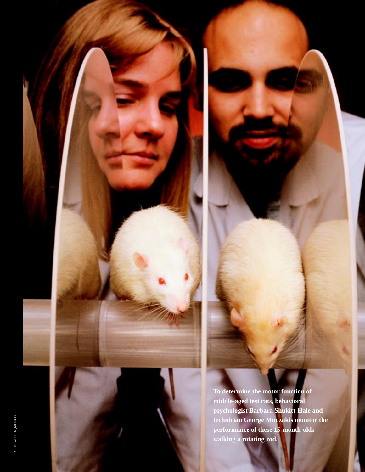**To determine the motor function of middle-aged test rats, behavioral psychologist Barbara Shukitt-Hale and technician George Mouzakis monitor the performance of these 15-month-olds walking a rotating rod.**

✩

14 Agricultural Research Agricultural Research Agricultural Research Agricultural Research Agricultural Research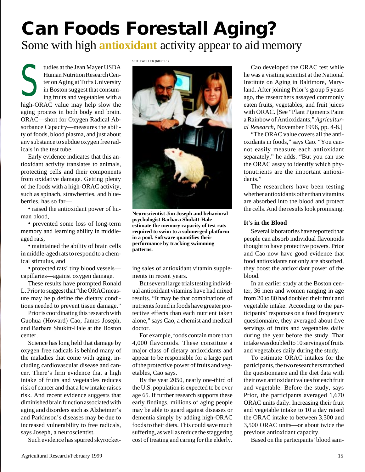## **Can Foods Forestall Aging?**

Some with high **antioxidant** activity appear to aid memory

S tudies at the Jean Mayer USDA Human Nutrition Research Center on Aging at Tufts University in Boston suggest that consuming fruits and vegetables with a high-ORAC value may help slow the aging process in both body and brain. ORAC—short for Oxygen Radical Absorbance Capacity—measures the ability of foods, blood plasma, and just about any substance to subdue oxygen free radicals in the test tube.

Early evidence indicates that this antioxidant activity translates to animals, protecting cells and their components from oxidative damage. Getting plenty of the foods with a high-ORAC activity, such as spinach, strawberries, and blueberries, has so far—

• raised the antioxidant power of human blood,

• prevented some loss of long-term memory and learning ability in middleaged rats,

• maintained the ability of brain cells in middle-aged rats to respond to a chemical stimulus, and

• protected rats' tiny blood vessels capillaries—against oxygen damage.

These results have prompted Ronald L. Prior to suggest that "the ORAC measure may help define the dietary conditions needed to prevent tissue damage."

Prior is coordinating this research with Guohua (Howard) Cao, James Joseph, and Barbara Shukitt-Hale at the Boston center.

Science has long held that damage by oxygen free radicals is behind many of the maladies that come with aging, including cardiovascular disease and cancer. There's firm evidence that a high intake of fruits and vegetables reduces risk of cancer and that a low intake raises risk. And recent evidence suggests that diminished brain function associated with aging and disorders such as Alzheimer's and Parkinson's diseases may be due to increased vulnerability to free radicals, says Joseph, a neuroscientist.

Such evidence has spurred skyrocket-

KEITH WELLER (K8351-1)



**Neuroscientist Jim Joseph and behavioral psychologist Barbara Shukitt-Hale estimate the memory capacity of test rats required to swim to a submerged platform in a pool. Software quantifies their performance by tracking swimming patterns.**

ing sales of antioxidant vitamin supplements in recent years.

But several large trials testing individual antioxidant vitamins have had mixed results. "It may be that combinations of nutrients found in foods have greater protective effects than each nutrient taken alone," says Cao, a chemist and medical doctor.

For example, foods contain more than 4,000 flavonoids. These constitute a major class of dietary antioxidants and appear to be responsible for a large part of the protective power of fruits and vegetables, Cao says.

By the year 2050, nearly one-third of the U.S. population is expected to be over age 65. If further research supports these early findings, millions of aging people may be able to guard against diseases or dementia simply by adding high-ORAC foods to their diets. This could save much suffering, as well as reduce the staggering cost of treating and caring for the elderly.

Cao developed the ORAC test while he was a visiting scientist at the National Institute on Aging in Baltimore, Maryland. After joining Prior's group 5 years ago, the researchers assayed commonly eaten fruits, vegetables, and fruit juices with ORAC. [See "Plant Pigments Paint a Rainbow of Antioxidants," *Agricultural Research*, November 1996, pp. 4-8.]

"The ORAC value covers all the antioxidants in foods," says Cao. "You cannot easily measure each antioxidant separately," he adds. "But you can use the ORAC assay to identify which phytonutrients are the important antioxidants."

The researchers have been testing whether antioxidants other than vitamins are absorbed into the blood and protect the cells. And the results look promising.

## **It**'**s in the Blood**

Several laboratories have reported that people can absorb individual flavonoids thought to have protective powers. Prior and Cao now have good evidence that food antioxidants not only are absorbed, they boost the antioxidant power of the blood.

In an earlier study at the Boston center, 36 men and women ranging in age from 20 to 80 had doubled their fruit and vegetable intake. According to the participants' responses on a food frequency questionnaire, they averaged about five servings of fruits and vegetables daily during the year before the study. That intake was doubled to 10 servings of fruits and vegetables daily during the study.

To estimate ORAC intakes for the participants, the two researchers matched the questionnaire and the diet data with their own antioxidant values for each fruit and vegetable. Before the study, says Prior, the participants averaged 1,670 ORAC units daily. Increasing their fruit and vegetable intake to 10 a day raised the ORAC intake to between 3,300 and 3,500 ORAC units—or about twice the previous antioxidant capacity.

Based on the participants' blood sam-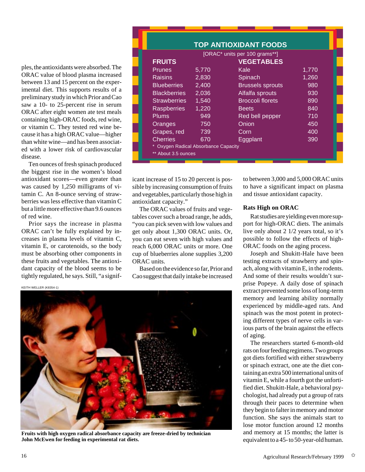ples, the antioxidants were absorbed. The ORAC value of blood plasma increased between 13 and 15 percent on the experimental diet. This supports results of a preliminary study in which Prior and Cao saw a 10- to 25-percent rise in serum ORAC after eight women ate test meals containing high-ORAC foods, red wine, or vitamin C. They tested red wine because it has a high ORAC value—higher than white wine—and has been associated with a lower risk of cardiovascular disease.

Ten ounces of fresh spinach produced the biggest rise in the women's blood antioxidant scores—even greater than was caused by 1,250 milligrams of vitamin C. An 8-ounce serving of strawberries was less effective than vitamin C but a little more effective than 9.6 ounces of red wine.

Prior says the increase in plasma ORAC can't be fully explained by increases in plasma levels of vitamin C, vitamin E, or carotenoids, so the body must be absorbing other components in these fruits and vegetables. The antioxidant capacity of the blood seems to be tightly regulated, he says. Still, "a signif-

KEITH WELLER (K8354-1)

|                                    |       | <b>TOP ANTIOXIDANT FOODS</b> |       |
|------------------------------------|-------|------------------------------|-------|
| [ORAC* units per 100 grams**]      |       |                              |       |
| <b>FRUITS</b>                      |       | <b>VEGETABLES</b>            |       |
| <b>Prunes</b>                      | 5,770 | Kale                         | 1,770 |
| <b>Raisins</b>                     | 2,830 | Spinach                      | 1,260 |
| <b>Blueberries</b>                 | 2,400 | <b>Brussels sprouts</b>      | 980   |
| <b>Blackberries</b>                | 2,036 | Alfalfa sprouts              | 930   |
| <b>Strawberries</b>                | 1,540 | <b>Broccoli florets</b>      | 890   |
| <b>Raspberries</b>                 | 1,220 | <b>Beets</b>                 | 840   |
| <b>Plums</b>                       | 949   | Red bell pepper              | 710   |
| Oranges                            | 750   | Onion                        | 450   |
| Grapes, red                        | 739   | Corn                         | 400   |
| <b>Cherries</b>                    | 670   | Eggplant                     | 390   |
| Oxygen Radical Absorbance Capacity |       |                              |       |
| ** About 3.5 ounces                |       |                              |       |
|                                    |       |                              |       |

icant increase of 15 to 20 percent is possible by increasing consumption of fruits and vegetables, particularly those high in antioxidant capacity."

The ORAC values of fruits and vegetables cover such a broad range, he adds, "you can pick seven with low values and get only about 1,300 ORAC units. Or, you can eat seven with high values and reach 6,000 ORAC units or more. One cup of blueberries alone supplies 3,200 ORAC units.

Based on the evidence so far, Prior and Cao suggest that daily intake be increased

**Fruits with high oxygen radical absorbance capacity are freeze-dried by technician John McEwen for feeding in experimental rat diets.**

to between 3,000 and 5,000 ORAC units to have a significant impact on plasma and tissue antioxidant capacity.

## **Rats High on ORAC**

Rat studies are yielding even more support for high-ORAC diets. The animals live only about 2 1/2 years total, so it's possible to follow the effects of high-ORAC foods on the aging process.

Joseph and Shukitt-Hale have been testing extracts of strawberry and spinach, along with vitamin E, in the rodents. And some of their results wouldn't surprise Popeye. A daily dose of spinach extract prevented some loss of long-term memory and learning ability normally experienced by middle-aged rats. And spinach was the most potent in protecting different types of nerve cells in various parts of the brain against the effects of aging.

The researchers started 6-month-old rats on four feeding regimens. Two groups got diets fortified with either strawberry or spinach extract, one ate the diet containing an extra 500 international units of vitamin E, while a fourth got the unfortified diet. Shukitt-Hale, a behavioral psychologist, had already put a group of rats through their paces to determine when they begin to falter in memory and motor function. She says the animals start to lose motor function around 12 months and memory at 15 months; the latter is equivalent to a 45- to 50-year-old human.